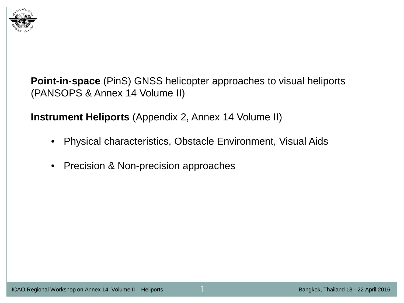

**Point-in-space** (PinS) GNSS helicopter approaches to visual heliports (PANSOPS & Annex 14 Volume II)

**Instrument Heliports** (Appendix 2, Annex 14 Volume II)

- Physical characteristics, Obstacle Environment, Visual Aids
- Precision & Non-precision approaches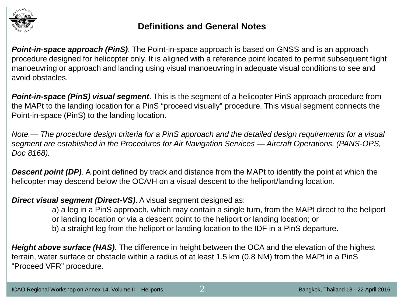

### **Definitions and General Notes**

*Point-in-space approach (PinS)*. The Point-in-space approach is based on GNSS and is an approach procedure designed for helicopter only. It is aligned with a reference point located to permit subsequent flight manoeuvring or approach and landing using visual manoeuvring in adequate visual conditions to see and avoid obstacles.

*Point-in-space (PinS) visual segment*. This is the segment of a helicopter PinS approach procedure from the MAPt to the landing location for a PinS "proceed visually" procedure. This visual segment connects the Point-in-space (PinS) to the landing location.

*Note.— The procedure design criteria for a PinS approach and the detailed design requirements for a visual segment are established in the Procedures for Air Navigation Services — Aircraft Operations, (PANS-OPS, Doc 8168).*

*Descent point (DP)*. A point defined by track and distance from the MAPt to identify the point at which the helicopter may descend below the OCA/H on a visual descent to the heliport/landing location.

*Direct visual segment (Direct-VS)*. A visual segment designed as:

a) a leg in a PinS approach, which may contain a single turn, from the MAPt direct to the heliport or landing location or via a descent point to the heliport or landing location; or b) a straight leg from the heliport or landing location to the IDF in a PinS departure.

*Height above surface (HAS)*. The difference in height between the OCA and the elevation of the highest terrain, water surface or obstacle within a radius of at least 1.5 km (0.8 NM) from the MAPt in a PinS "Proceed VFR" procedure.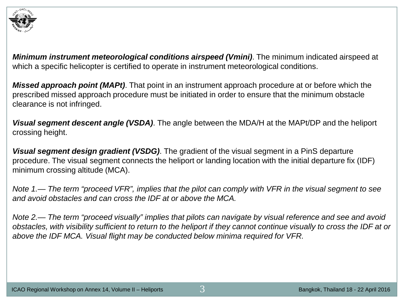

*Minimum instrument meteorological conditions airspeed (Vmini)*. The minimum indicated airspeed at which a specific helicopter is certified to operate in instrument meteorological conditions.

*Missed approach point (MAPt)*. That point in an instrument approach procedure at or before which the prescribed missed approach procedure must be initiated in order to ensure that the minimum obstacle clearance is not infringed.

*Visual segment descent angle (VSDA)*. The angle between the MDA/H at the MAPt/DP and the heliport crossing height.

*Visual segment design gradient (VSDG)*. The gradient of the visual segment in a PinS departure procedure. The visual segment connects the heliport or landing location with the initial departure fix (IDF) minimum crossing altitude (MCA).

*Note 1.— The term "proceed VFR", implies that the pilot can comply with VFR in the visual segment to see and avoid obstacles and can cross the IDF at or above the MCA.*

*Note 2.— The term "proceed visually" implies that pilots can navigate by visual reference and see and avoid obstacles, with visibility sufficient to return to the heliport if they cannot continue visually to cross the IDF at or above the IDF MCA. Visual flight may be conducted below minima required for VFR.*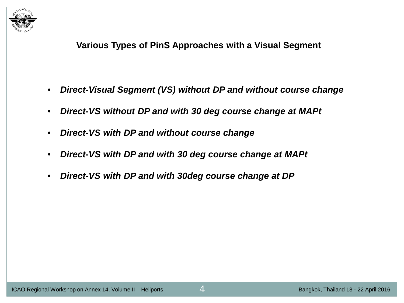

**Various Types of PinS Approaches with a Visual Segment** 

- *Direct-Visual Segment (VS) without DP and without course change*
- *Direct-VS without DP and with 30 deg course change at MAPt*
- *Direct-VS with DP and without course change*
- *Direct-VS with DP and with 30 deg course change at MAPt*
- *Direct-VS with DP and with 30deg course change at DP*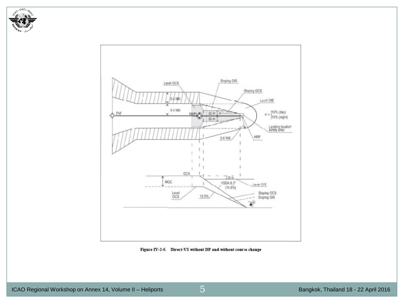



Figure IV-2-5. Direct-VS without DP and without course change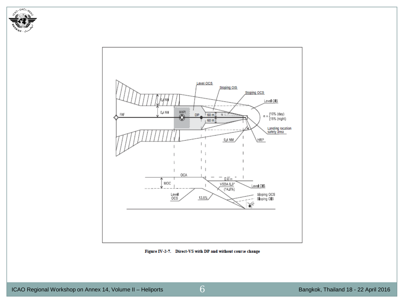



Figure IV-2-7. Direct-VS with DP and without course change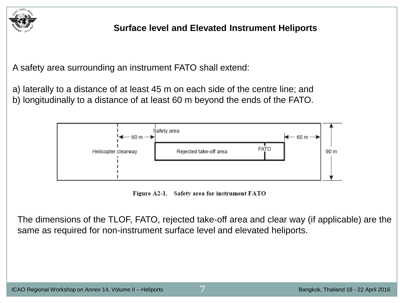

# **Surface level and Elevated Instrument Heliports**

A safety area surrounding an instrument FATO shall extend:

a) laterally to a distance of at least 45 m on each side of the centre line; and b) longitudinally to a distance of at least 60 m beyond the ends of the FATO.



Figure A2-1. Safety area for instrument FATO

The dimensions of the TLOF, FATO, rejected take-off area and clear way (if applicable) are the same as required for non-instrument surface level and elevated heliports.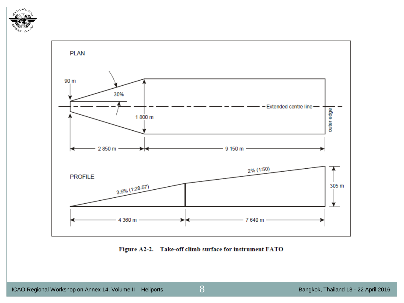



Figure A2-2. Take-off climb surface for instrument FATO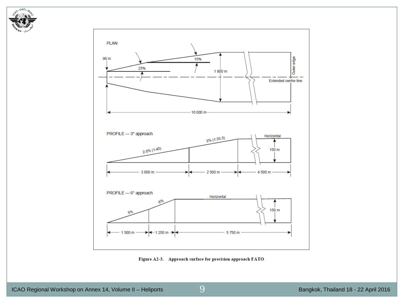



Figure A2-3. Approach surface for precision approach FATO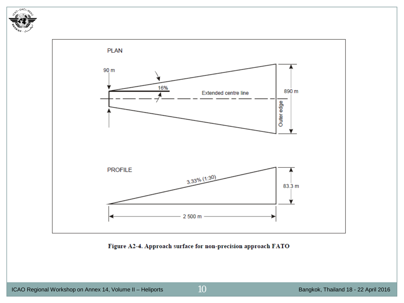



Figure A2-4. Approach surface for non-precision approach FATO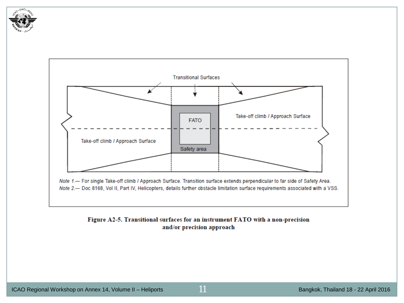



#### Figure A2-5. Transitional surfaces for an instrument FATO with a non-precision and/or precision approach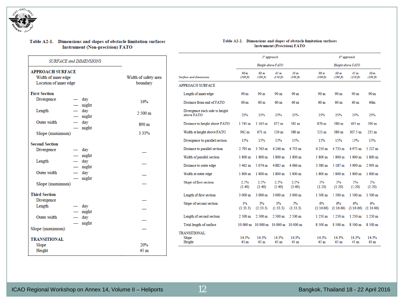

#### Table A2-1. Dimensions and slopes of obstacle limitation surfaces **Instrument (Non-precision) FATO**

#### Table A2-2. Dimensions and slopes of obstacle limitation surfaces **Instrument (Precision) FATO**

| <b>SURFACE and DIMENSIONS</b>                |                      |                                  |
|----------------------------------------------|----------------------|----------------------------------|
| <b>APPROACH SURFACE</b>                      |                      |                                  |
| Width of inner edge                          | Width of safety area | Surface and dimensions           |
| Location of inner edge                       | boundary             | <b>APPROACH SURFA</b>            |
| <b>First Section</b>                         |                      | Length of inner ed               |
| Divergence<br>— day<br>$-\quad$ night        | 16%                  | Distance from end                |
| Length<br>$-$ day<br>$-\quad$ night          | $2500 \text{ m}$     | Divergence each si<br>above FATO |
| Outer width<br>$-$ day<br>$-$ night          | 890 m                | Distance to height               |
| Slope (maximum)                              | 3.33%                | Width at height ab               |
| <b>Second Section</b>                        |                      | Divergence to para               |
| Divergence<br>— day                          |                      | Distance to paralle              |
| $-$ night<br>$-$ day<br>Length               |                      | Width of parallel s              |
| $-$ night                                    |                      | Distance to outer e              |
| Outer width<br>$-\frac{day}{x}$<br>$-$ night |                      | Width at outer edg               |
| Slope (maximum)                              |                      | Slope of first section           |
| <b>Third Section</b>                         |                      | Length of first sect             |
| Divergence                                   |                      | Slope of second se               |
| Length<br>$-$ day<br>$-$ night               |                      |                                  |
| Outer width<br>$-$ day                       |                      | Length of second s               |
| $-$ night<br>Slope (maximum)                 |                      | Total length of sur.             |
|                                              |                      | <b>TRANSITIONAL</b><br>Slope     |
| <b>TRANSITIONAL</b>                          |                      | Height                           |
| Slope                                        | 20%                  |                                  |
| Height                                       | 45 <sub>m</sub>      |                                  |

|                                              | 3 <sup>°</sup> approach<br>Height above FATO |                            |                               | 6° approach<br>Height above FATO |                  |                          |                                      |                            |
|----------------------------------------------|----------------------------------------------|----------------------------|-------------------------------|----------------------------------|------------------|--------------------------|--------------------------------------|----------------------------|
|                                              |                                              |                            |                               |                                  |                  |                          |                                      |                            |
| face and dimensions                          | 90 m<br>(300 ft)                             | 60 m<br>$(200 \text{ ft})$ | 45 <sub>m</sub><br>$(150$ ft) | 30 m<br>(100 ft)                 | 90 m<br>(300 ft) | 60 m<br>(200 ft)         | 45 <sub>m</sub><br>$(150\text{ ft})$ | 30 m<br>$(100 \text{ ft})$ |
| PROACH SURFACE                               |                                              |                            |                               |                                  |                  |                          |                                      |                            |
| Length of inner edge                         | 90 <sub>m</sub>                              | 90 <sub>m</sub>            | 90 m                          | 90 <sub>m</sub>                  | 90 <sub>m</sub>  | 90 <sub>m</sub>          | 90 m                                 | 90 <sub>m</sub>            |
| Distance from end of FATO                    | 60 m                                         | 60 <sub>m</sub>            | 60 m                          | 60 m                             | 60 <sub>m</sub>  | 60 m                     | 60 m                                 | 60 <sub>m</sub>            |
| Divergence each side to height<br>above FATO | 25%                                          | 25%                        | 25%                           | 25%                              | 25%              | 25%                      | 25%                                  | 25%                        |
| Distance to height above FATO                | 1 745 m                                      | 1 163 m                    | 872 m                         | 581 m                            | 870 m            | 580 m                    | 435 m                                | 290 m                      |
| Width at height above FATO                   | $962 \text{ m}$                              | 671 m                      | $526 \text{ m}$               | 380 m                            | $521 \text{ m}$  | 380 m                    | 307.5 m                              | 235 <sub>m</sub>           |
| Divergence to parallel section               | 15%                                          | 15%                        | 15%                           | 15%                              | 15%              | 15%                      | 15%                                  | 15%                        |
| Distance to parallel section                 | 2 793 m                                      | 3 763 m                    | 4 246 m                       | 4 733 m                          | 4 250 m          | 4 733 m                  | 4 975 m                              | 5 217 m                    |
| Width of parallel section                    | 1 800 m                                      | 1 800 m                    | 1 800 m                       | 1 800 m                          | 1 800 m          | 1 800 m                  | 1 800 m                              | 1 800 m                    |
| Distance to outer edge                       | 5 462 m                                      | 5 074 m                    | 4 882 m                       | 4 686 m                          | 3 380 m          | 3 187 m                  | 3 090 m                              | 2 993 m                    |
| Width at outer edge                          | 1 800 m                                      | 1 800 m                    | 1 800 m                       | 1800 m                           | 1 800 m          | 1 800 m                  | 1 800 m                              | 1 800 m                    |
| Slope of first section                       | 2.5%<br>(1:40)                               | 2.5%<br>(1:40)             | 2.5%<br>(1:40)                | 2.5%<br>(1:40)                   | 5%<br>(1:20)     | 5%<br>(1:20)             | 5%<br>(1:20)                         | 5%<br>(1:20)               |
| Length of first section                      | 3 000 m                                      | 3 000 m                    | 3 000 m                       | 3 000 m                          | 1500 m           | 1 500 m                  | 1500 m                               | 1500 m                     |
| Slope of second section                      | 3%<br>(1:33.3)                               | 3%<br>(1:33.3)             | 3%<br>(1:33.3)                | 3%<br>(1:33.3)                   | 6%<br>(1:16.66)  | 6%<br>(1:16.66)          | 6%<br>(1:16.66)                      | 6%<br>(1:16.66)            |
| Length of second section                     | $2500 \text{ m}$                             | $2500 \text{ m}$           | $2500 \text{ m}$              | $2500 \text{ m}$                 | 1 250 m          | 1 250 m                  | 1 250 m                              | 1 250 m                    |
| Total length of surface                      | 10 000 m                                     |                            | 10 000 m 10 000 m             | $10000 \text{ m}$                | 8 500 m          | 8 500 m                  | 8 500 m                              | 8 500 m                    |
| ANSITIONAL<br>Slope<br>Height                | 14.3%<br>45 m                                | 14.3%<br>45 <sub>m</sub>   | 14.3%<br>45 <sub>m</sub>      | 14.3%<br>45 m                    | 14.3%<br>45m     | 14.3%<br>45 <sub>m</sub> | 14.3%<br>45 <sub>m</sub>             | 14.3%<br>45 m              |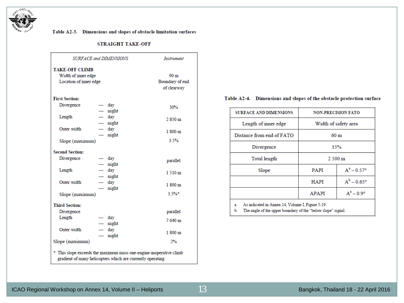

#### Table A2-3. Dimensions and slopes of obstacle limitation surfaces

#### **STRAIGHT TAKE-OFF**

| <b>SURFACE and DIMENSIONS</b>                                          |                                                             | <b>Instrument</b>                                 |
|------------------------------------------------------------------------|-------------------------------------------------------------|---------------------------------------------------|
| <b>TAKE-OFF CLIMB</b><br>Width of inner edge<br>Location of inner edge |                                                             | 90 <sub>m</sub><br>Boundary of end<br>of clearway |
| <b>First Section:</b>                                                  |                                                             |                                                   |
| Divergence                                                             | $-$ day<br>$-$ night                                        | 30%                                               |
| Length                                                                 | $-$ day<br>$-\quad$ night                                   | 2 850 m                                           |
| Outer width                                                            | $-$ day<br>$-$ night                                        | 1800 m                                            |
| Slope (maximum)                                                        |                                                             | 3.5%                                              |
| <b>Second Section:</b>                                                 |                                                             |                                                   |
| Divergence                                                             | — day<br>$-$ night                                          | parallel                                          |
| Length                                                                 | $-$ day<br>$-$ night                                        | 1510 m                                            |
| Outer width                                                            | $-$ day<br>$-$ night                                        | 1800 m                                            |
| Slope (maximum)                                                        |                                                             | 3.5%                                              |
| <b>Third Section:</b>                                                  |                                                             |                                                   |
| Divergence                                                             |                                                             | parallel                                          |
| Length                                                                 | $-$ day<br>$-$ night                                        | 7640 m                                            |
| Outer width                                                            | $-$ day<br>$-\quad$ night                                   | 1800 m                                            |
| Slope (maximum)                                                        |                                                             | 2%                                                |
| * This slope exceeds the maximum mass one-engine-inoperative climb     | gradient of many helicopters which are currently operating. |                                                   |

#### Table A2-4. Dimensions and slopes of the obstacle protection surface

| <b>SURFACE AND DIMENSIONS</b>                          | <b>NON-PRECISION FATO</b> |                        |  |
|--------------------------------------------------------|---------------------------|------------------------|--|
| Length of inner edge                                   | Width of safety area      |                        |  |
| Distance from end of FATO                              | 60 <sub>m</sub>           |                        |  |
| Divergence                                             | 15%                       |                        |  |
| Total length                                           | $2500 \text{ m}$          |                        |  |
| Slope                                                  | <b>PAPI</b>               | $A^a - 0.57^o$         |  |
|                                                        | <b>HAPI</b>               | $A^{b} - 0.65^{\circ}$ |  |
|                                                        | <b>APAPI</b>              | $A^a - 0.9^{\circ}$    |  |
| As indicated in Annex 14, Volume I, Figure 5-19.<br>a. |                           |                        |  |

b. The angle of the upper boundary of the "below slope" signal.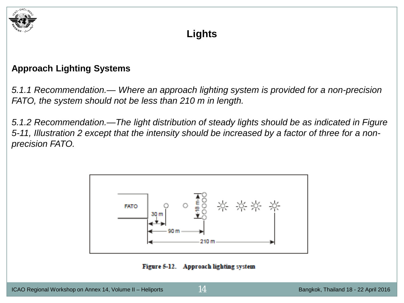

# **Lights**

# **Approach Lighting Systems**

*5.1.1 Recommendation.— Where an approach lighting system is provided for a non-precision FATO, the system should not be less than 210 m in length.*

*5.1.2 Recommendation.—The light distribution of steady lights should be as indicated in Figure 5-11, Illustration 2 except that the intensity should be increased by a factor of three for a nonprecision FATO.*



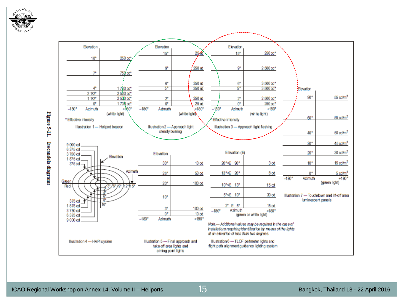